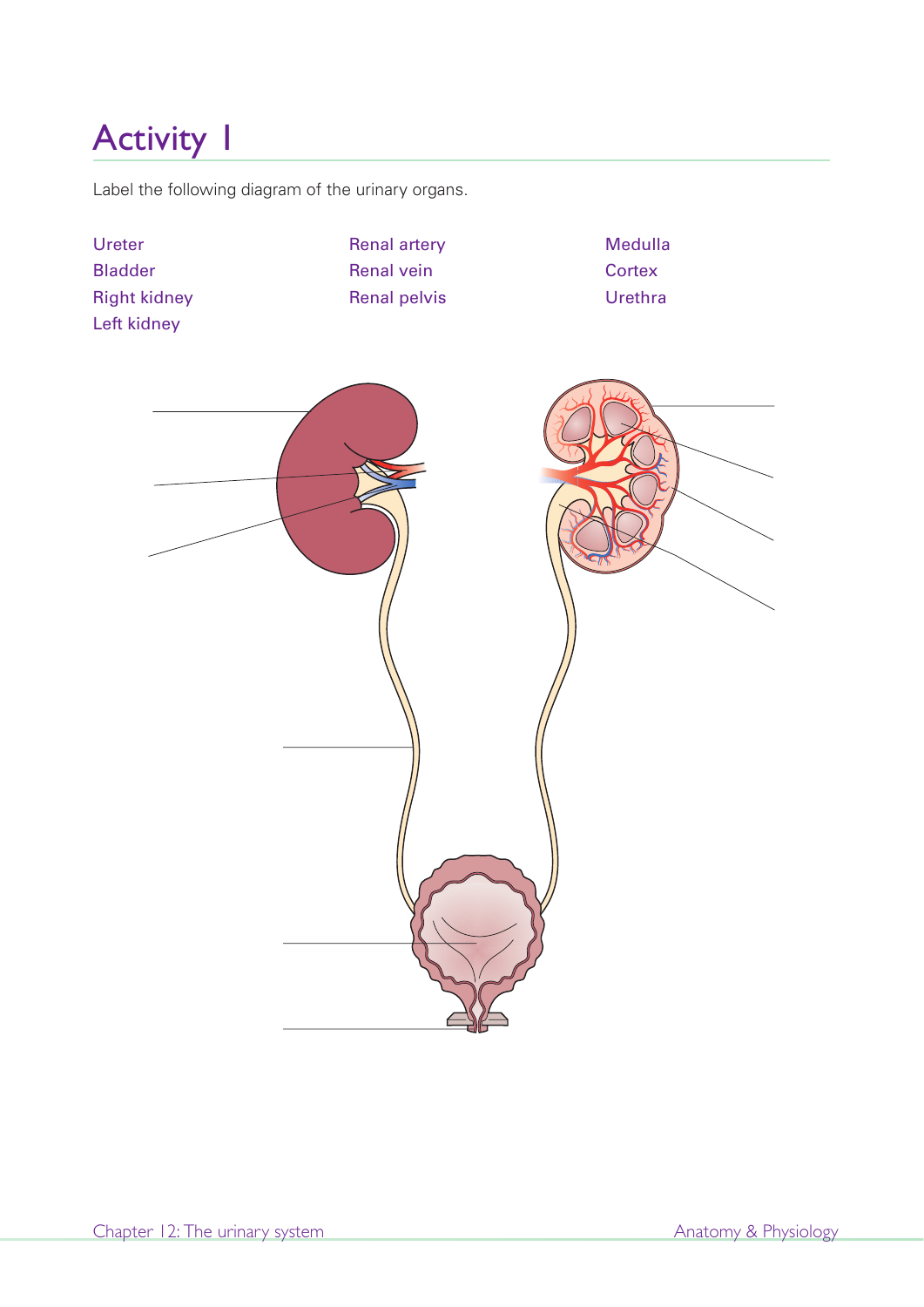Label the following diagram of the urinary organs.

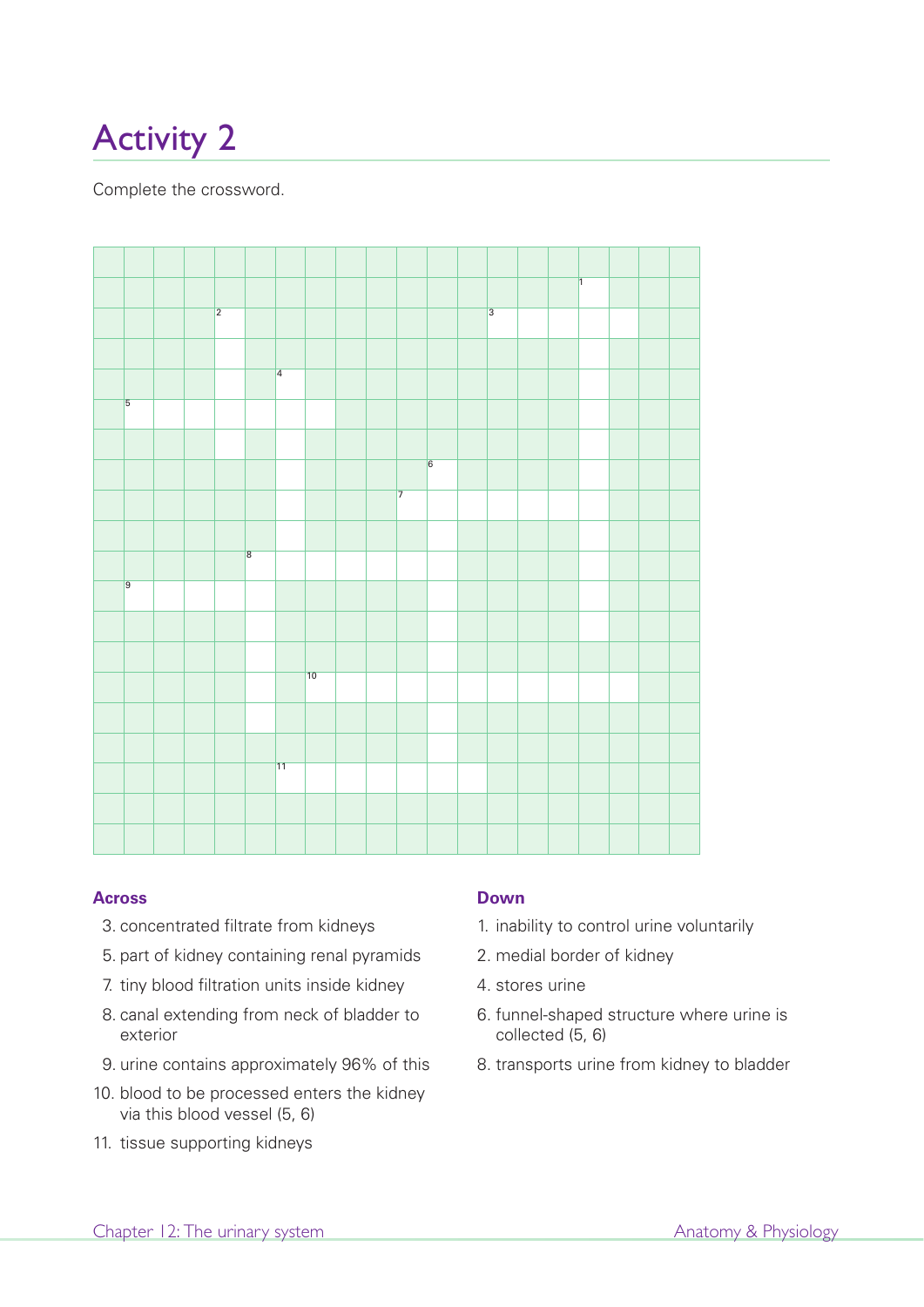Complete the crossword.



#### **Across**

- 3. concentrated filtrate from kidneys
- 5. part of kidney containing renal pyramids
- 7. tiny blood filtration units inside kidney
- 8. canal extending from neck of bladder to exterior
- 9. urine contains approximately 96% of this
- 10. blood to be processed enters the kidney via this blood vessel (5, 6)
- 11. tissue supporting kidneys

#### **Down**

- 1. inability to control urine voluntarily
- 2. medial border of kidney
- 4. stores urine
- 6. funnel-shaped structure where urine is collected (5, 6)
- 8. transports urine from kidney to bladder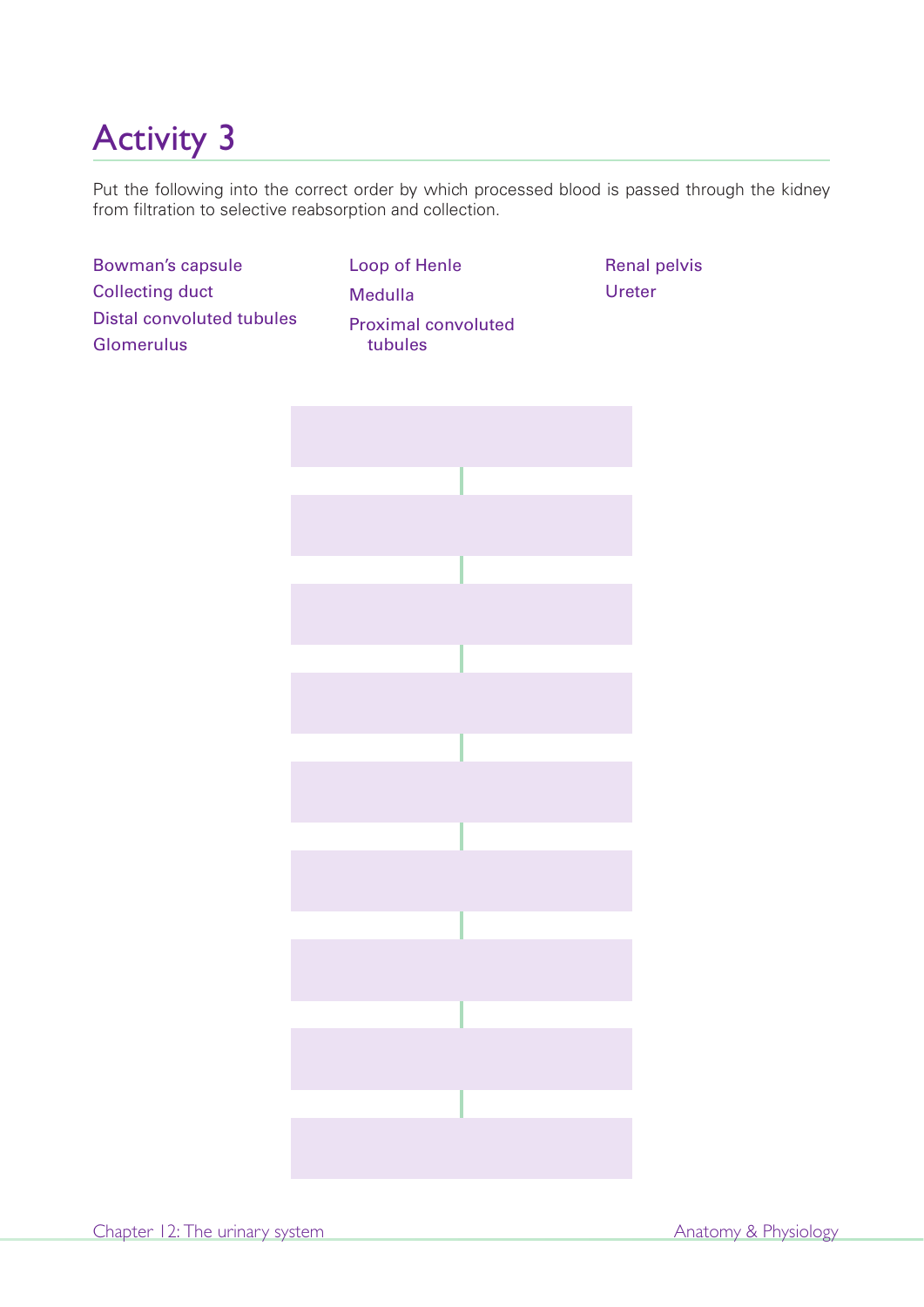Put the following into the correct order by which processed blood is passed through the kidney from filtration to selective reabsorption and collection.

Bowman's capsule Collecting duct Distal convoluted tubules Glomerulus

Loop of Henle Medulla Proximal convoluted tubules

Renal pelvis Ureter

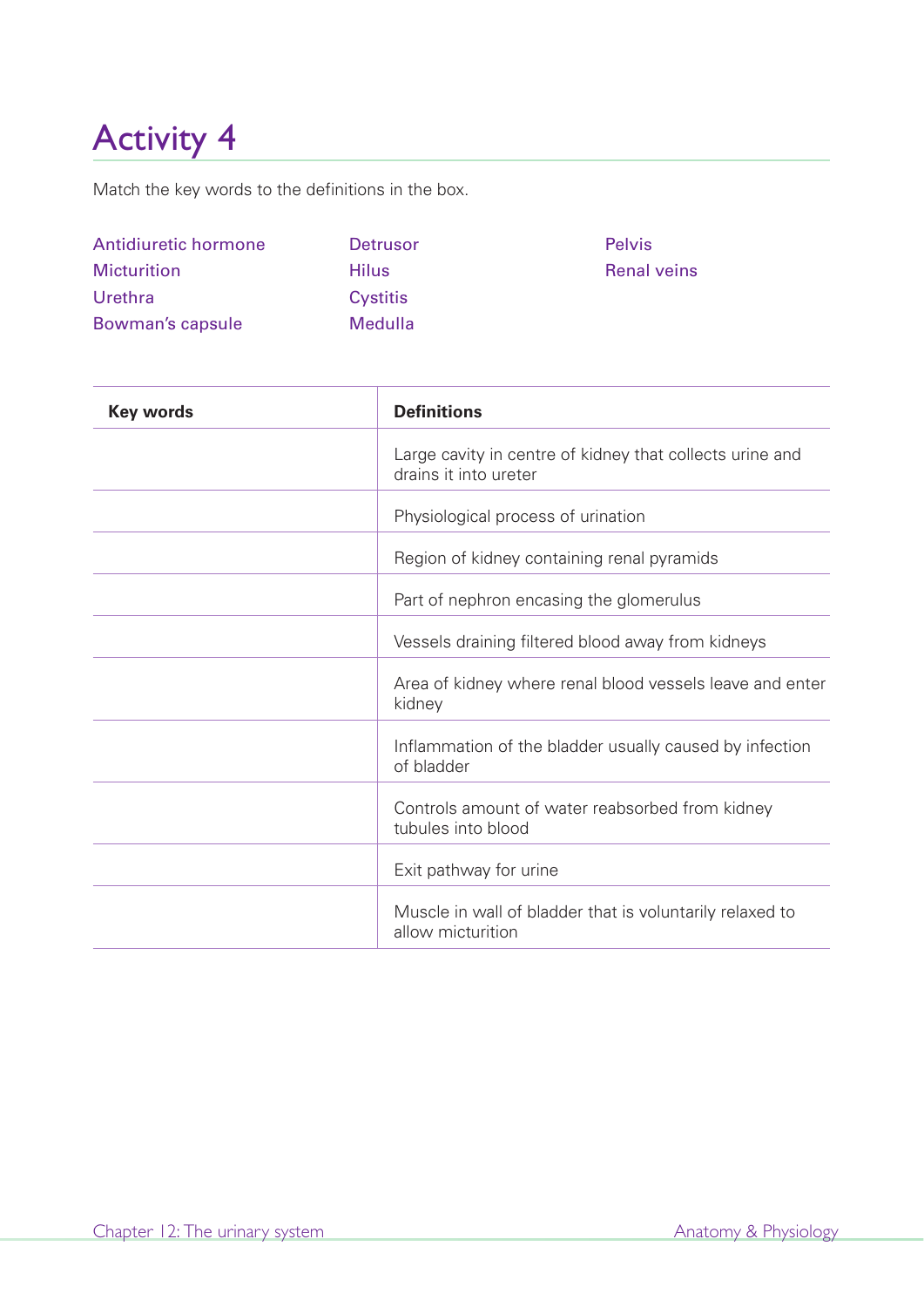Match the key words to the definitions in the box.

| Antidiuretic hormone | Detrusor        | <b>Pelvis</b>      |
|----------------------|-----------------|--------------------|
| <b>Micturition</b>   | <b>Hilus</b>    | <b>Renal veins</b> |
| <b>Urethra</b>       | <b>Cystitis</b> |                    |
| Bowman's capsule     | <b>Medulla</b>  |                    |

| <b>Key words</b> | <b>Definitions</b>                                                                |
|------------------|-----------------------------------------------------------------------------------|
|                  | Large cavity in centre of kidney that collects urine and<br>drains it into ureter |
|                  | Physiological process of urination                                                |
|                  | Region of kidney containing renal pyramids                                        |
|                  | Part of nephron encasing the glomerulus                                           |
|                  | Vessels draining filtered blood away from kidneys                                 |
|                  | Area of kidney where renal blood vessels leave and enter<br>kidney                |
|                  | Inflammation of the bladder usually caused by infection<br>of bladder             |
|                  | Controls amount of water reabsorbed from kidney<br>tubules into blood             |
|                  | Exit pathway for urine                                                            |
|                  | Muscle in wall of bladder that is voluntarily relaxed to<br>allow micturition     |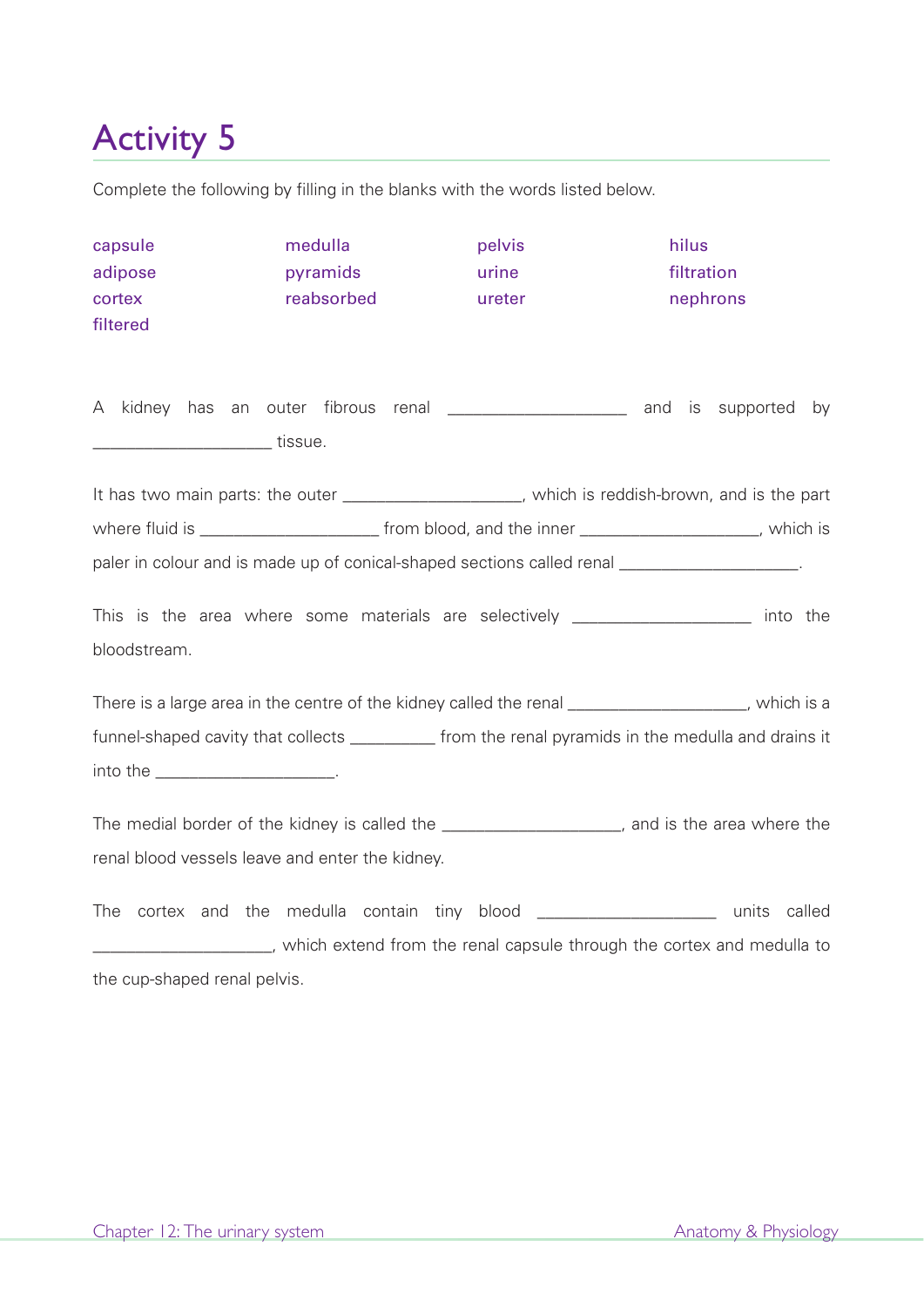Complete the following by filling in the blanks with the words listed below.

| capsule<br>adipose<br>cortex<br>filtered                                                                                                                                                         | medulla<br>pyramids<br>reabsorbed | pelvis<br>urine<br>ureter                                                                                                                                                                                 | hilus<br>filtration<br>nephrons |  |  |
|--------------------------------------------------------------------------------------------------------------------------------------------------------------------------------------------------|-----------------------------------|-----------------------------------------------------------------------------------------------------------------------------------------------------------------------------------------------------------|---------------------------------|--|--|
| A<br>__________________________tissue.                                                                                                                                                           |                                   | kidney has an outer fibrous renal ______________________ and is supported by                                                                                                                              |                                 |  |  |
| It has two main parts: the outer _____________________, which is reddish-brown, and is the part<br>paler in colour and is made up of conical-shaped sections called renal _____________________. |                                   |                                                                                                                                                                                                           |                                 |  |  |
| This is the area where some materials are selectively ____________________ into the<br>bloodstream.                                                                                              |                                   |                                                                                                                                                                                                           |                                 |  |  |
|                                                                                                                                                                                                  |                                   | There is a large area in the centre of the kidney called the renal ____________________, which is a<br>funnel-shaped cavity that collects __________ from the renal pyramids in the medulla and drains it |                                 |  |  |
| The medial border of the kidney is called the ____________________, and is the area where the<br>renal blood vessels leave and enter the kidney.                                                 |                                   |                                                                                                                                                                                                           |                                 |  |  |
| The<br>the cup-shaped renal pelvis.                                                                                                                                                              |                                   | cortex and the medulla contain tiny blood _________________________ units called<br>_____________________, which extend from the renal capsule through the cortex and medulla to                          |                                 |  |  |